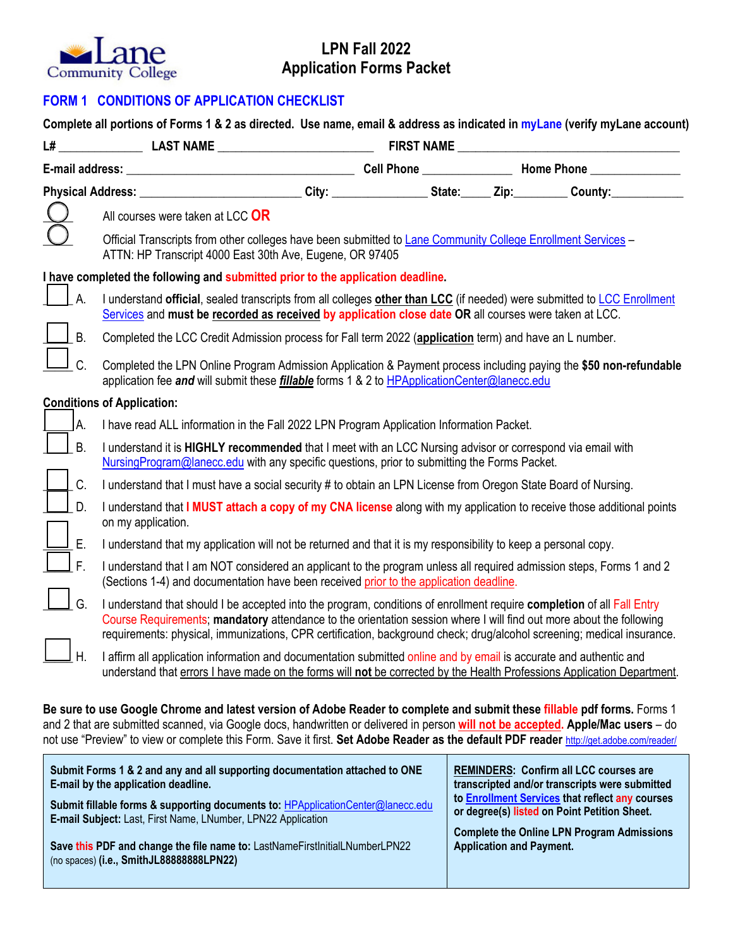

## **LPN Fall 2022 Application Forms Packet**

## **FORM 1 CONDITIONS OF APPLICATION CHECKLIST**

|                | L# LAST NAME LAST NAME FIRST NAME                                                                                                                                                                                                                                                                                                                                       |  |  |  |  |  |
|----------------|-------------------------------------------------------------------------------------------------------------------------------------------------------------------------------------------------------------------------------------------------------------------------------------------------------------------------------------------------------------------------|--|--|--|--|--|
|                |                                                                                                                                                                                                                                                                                                                                                                         |  |  |  |  |  |
|                |                                                                                                                                                                                                                                                                                                                                                                         |  |  |  |  |  |
|                | All courses were taken at LCC OR                                                                                                                                                                                                                                                                                                                                        |  |  |  |  |  |
|                | Official Transcripts from other colleges have been submitted to Lane Community College Enrollment Services -<br>ATTN: HP Transcript 4000 East 30th Ave, Eugene, OR 97405                                                                                                                                                                                                |  |  |  |  |  |
|                | I have completed the following and submitted prior to the application deadline.                                                                                                                                                                                                                                                                                         |  |  |  |  |  |
| $A$ .          | I understand official, sealed transcripts from all colleges other than LCC (if needed) were submitted to LCC Enrollment<br>Services and must be recorded as received by application close date OR all courses were taken at LCC.                                                                                                                                        |  |  |  |  |  |
| JВ.            | Completed the LCC Credit Admission process for Fall term 2022 (application term) and have an L number.                                                                                                                                                                                                                                                                  |  |  |  |  |  |
| Ιc.            | Completed the LPN Online Program Admission Application & Payment process including paying the \$50 non-refundable<br>application fee and will submit these fillable forms 1 & 2 to HPApplicationCenter@lanecc.edu                                                                                                                                                       |  |  |  |  |  |
|                | <b>Conditions of Application:</b>                                                                                                                                                                                                                                                                                                                                       |  |  |  |  |  |
| IA.            | I have read ALL information in the Fall 2022 LPN Program Application Information Packet.                                                                                                                                                                                                                                                                                |  |  |  |  |  |
| $\vert$   B.   | I understand it is HIGHLY recommended that I meet with an LCC Nursing advisor or correspond via email with<br>NursingProgram@lanecc.edu with any specific questions, prior to submitting the Forms Packet.                                                                                                                                                              |  |  |  |  |  |
| $\mathsf{C}$ . | I understand that I must have a social security # to obtain an LPN License from Oregon State Board of Nursing.                                                                                                                                                                                                                                                          |  |  |  |  |  |
| $\Box$ D.      | I understand that I MUST attach a copy of my CNA license along with my application to receive those additional points<br>on my application.                                                                                                                                                                                                                             |  |  |  |  |  |
| IE.            | I understand that my application will not be returned and that it is my responsibility to keep a personal copy.                                                                                                                                                                                                                                                         |  |  |  |  |  |
| l F.           | I understand that I am NOT considered an applicant to the program unless all required admission steps, Forms 1 and 2<br>(Sections 1-4) and documentation have been received prior to the application deadline.                                                                                                                                                          |  |  |  |  |  |
| G.             | I understand that should I be accepted into the program, conditions of enrollment require completion of all Fall Entry<br>Course Requirements; mandatory attendance to the orientation session where I will find out more about the following<br>requirements: physical, immunizations, CPR certification, background check; drug/alcohol screening; medical insurance. |  |  |  |  |  |
| H.             | I affirm all application information and documentation submitted online and by email is accurate and authentic and<br>understand that errors I have made on the forms will not be corrected by the Health Professions Application Department.                                                                                                                           |  |  |  |  |  |

**Be sure to use Google Chrome and latest version of Adobe Reader to complete and submit these fillable pdf forms.** Forms 1 and 2 that are submitted scanned, via Google docs, handwritten or delivered in person **will not be accepted. Apple/Mac users** – do not use "Preview" to view or complete this Form. Save it first. **Set Adobe Reader as the default PDF reader** http://get.adobe.com/reader/

| Submit Forms 1 & 2 and any and all supporting documentation attached to ONE     | <b>REMINDERS: Confirm all LCC courses are</b>     |
|---------------------------------------------------------------------------------|---------------------------------------------------|
| E-mail by the application deadline.                                             | transcripted and/or transcripts were submitted    |
| Submit fillable forms & supporting documents to: HPApplicationCenter@lanecc.edu | to Enrollment Services that reflect any courses   |
| E-mail Subject: Last, First Name, LNumber, LPN22 Application                    | or degree(s) listed on Point Petition Sheet.      |
| Save this PDF and change the file name to: LastNameFirstInitialLNumberLPN22     | <b>Complete the Online LPN Program Admissions</b> |
| (no spaces) (i.e., SmithJL88888888LPN22)                                        | <b>Application and Payment.</b>                   |
|                                                                                 |                                                   |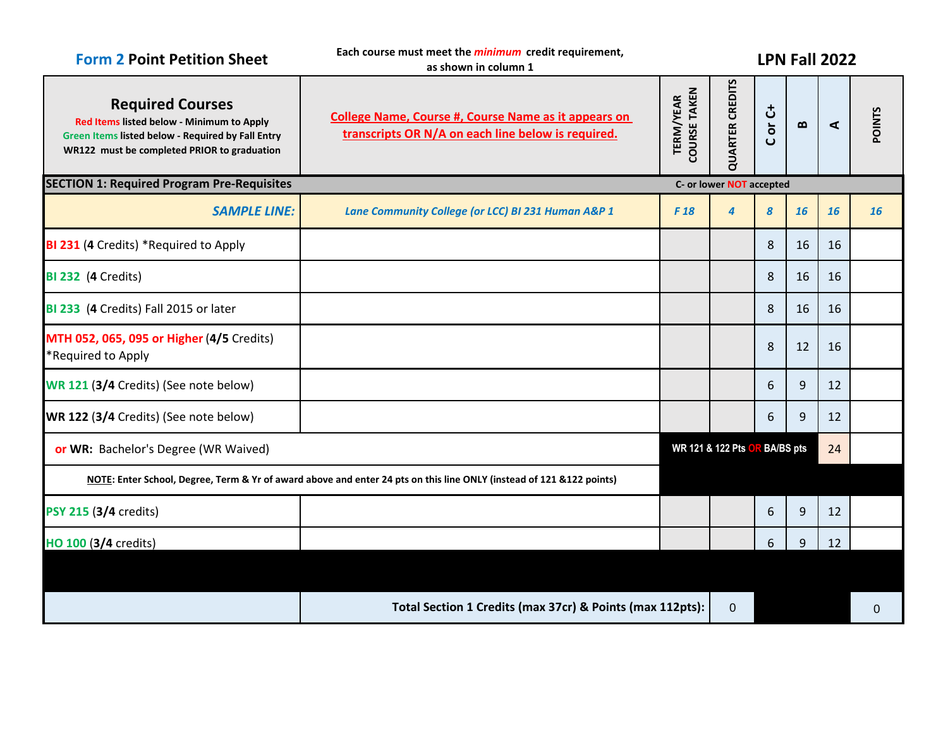| <b>Form 2 Point Petition Sheet</b>                                                                                                                                       | Each course must meet the <i>minimum</i> credit requirement,<br>as shown in column 1                                  |                                         | <b>LPN Fall 2022</b>          |                          |                                   |    |               |  |
|--------------------------------------------------------------------------------------------------------------------------------------------------------------------------|-----------------------------------------------------------------------------------------------------------------------|-----------------------------------------|-------------------------------|--------------------------|-----------------------------------|----|---------------|--|
| <b>Required Courses</b><br>Red Items listed below - Minimum to Apply<br>Green Items listed below - Required by Fall Entry<br>WR122 must be completed PRIOR to graduation | <b>College Name, Course #, Course Name as it appears on</b><br>transcripts OR N/A on each line below is required.     | <b>COURSE TAKEN</b><br><b>TERM/YEAR</b> | <b>QUARTER CREDITS</b>        | or C+<br>$\mathbf C$     | $\boldsymbol{\underline{\omega}}$ | ⋖  | <b>POINTS</b> |  |
| <b>SECTION 1: Required Program Pre-Requisites</b>                                                                                                                        |                                                                                                                       |                                         |                               | C- or lower NOT accepted |                                   |    |               |  |
| <b>SAMPLE LINE:</b>                                                                                                                                                      | Lane Community College (or LCC) BI 231 Human A&P 1                                                                    | F <sub>18</sub>                         | $\overline{4}$                | 8                        | 16                                | 16 | 16            |  |
| BI 231 (4 Credits) *Required to Apply                                                                                                                                    |                                                                                                                       |                                         |                               | 8                        | 16                                | 16 |               |  |
| <b>BI 232 (4 Credits)</b>                                                                                                                                                |                                                                                                                       |                                         |                               | 8                        | 16                                | 16 |               |  |
| BI 233 (4 Credits) Fall 2015 or later                                                                                                                                    |                                                                                                                       |                                         |                               | 8                        | 16                                | 16 |               |  |
| MTH 052, 065, 095 or Higher (4/5 Credits)<br>*Required to Apply                                                                                                          |                                                                                                                       |                                         |                               | 8                        | 12                                | 16 |               |  |
| WR 121 (3/4 Credits) (See note below)                                                                                                                                    |                                                                                                                       |                                         |                               | 6                        | 9                                 | 12 |               |  |
| WR 122 (3/4 Credits) (See note below)                                                                                                                                    |                                                                                                                       |                                         |                               | 6                        | 9                                 | 12 |               |  |
| or WR: Bachelor's Degree (WR Waived)                                                                                                                                     |                                                                                                                       |                                         | WR 121 & 122 Pts OR BA/BS pts |                          |                                   | 24 |               |  |
|                                                                                                                                                                          | NOTE: Enter School, Degree, Term & Yr of award above and enter 24 pts on this line ONLY (instead of 121 & 122 points) |                                         |                               |                          |                                   |    |               |  |
| PSY 215 (3/4 credits)                                                                                                                                                    |                                                                                                                       |                                         |                               | 6                        | 9                                 | 12 |               |  |
| HO 100 (3/4 credits)                                                                                                                                                     |                                                                                                                       |                                         |                               | 6                        | 9                                 | 12 |               |  |
|                                                                                                                                                                          |                                                                                                                       |                                         |                               |                          |                                   |    |               |  |
|                                                                                                                                                                          | Total Section 1 Credits (max 37cr) & Points (max 112pts):                                                             |                                         | $\mathbf 0$                   |                          |                                   |    | $\Omega$      |  |
|                                                                                                                                                                          |                                                                                                                       |                                         |                               |                          |                                   |    |               |  |